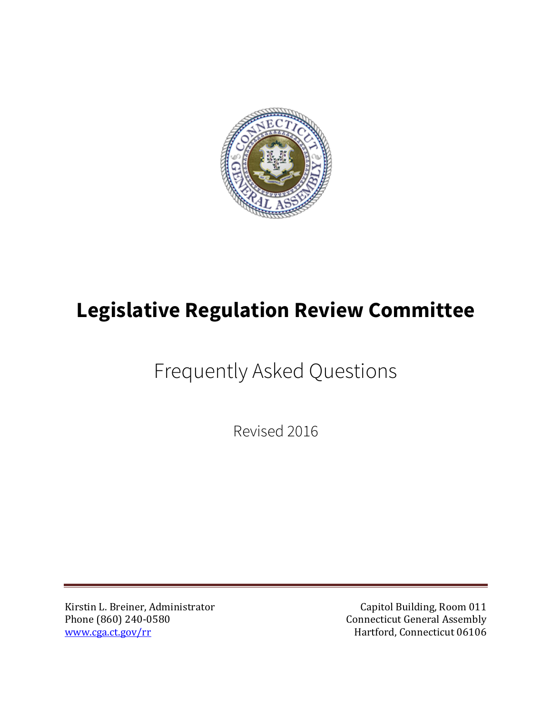

## **Legislative Regulation Review Committee**

Frequently Asked Questions

Revised 2016

Kirstin L. Breiner, Administrator Capitol Building, Room 011<br>
Phone (860) 240-0580 Connecticut General Assembly Phone (860) 240-0580 Connecticut General Assembly

Hartford, Connecticut 06106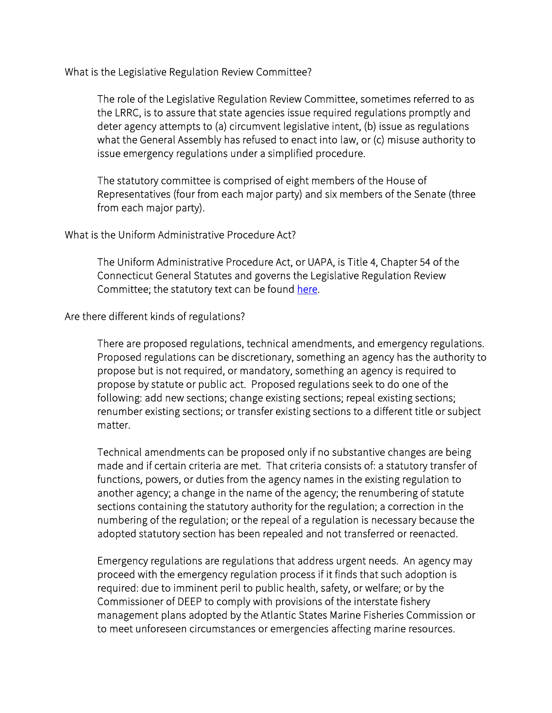What is the Legislative Regulation Review Committee?

The role of the Legislative Regulation Review Committee, sometimes referred to as the LRRC, is to assure that state agencies issue required regulations promptly and deter agency attempts to (a) circumvent legislative intent, (b) issue as regulations what the General Assembly has refused to enact into law, or (c) misuse authority to issue emergency regulations under a simplified procedure.

The statutory committee is comprised of eight members of the House of Representatives (four from each major party) and six members of the Senate (three from each major party).

## What is the Uniform Administrative Procedure Act?

The Uniform Administrative Procedure Act, or UAPA, is Title 4, Chapter 54 of the Connecticut General Statutes and governs the Legislative Regulation Review Committee; the statutory text can be found [here.](https://www.cga.ct.gov/current/pub/chap_054.htm)

## Are there different kinds of regulations?

There are proposed regulations, technical amendments, and emergency regulations. Proposed regulations can be discretionary, something an agency has the authority to propose but is not required, or mandatory, something an agency is required to propose by statute or public act. Proposed regulations seek to do one of the following: add new sections; change existing sections; repeal existing sections; renumber existing sections; or transfer existing sections to a different title or subject matter.

Technical amendments can be proposed only if no substantive changes are being made and if certain criteria are met. That criteria consists of: a statutory transfer of functions, powers, or duties from the agency names in the existing regulation to another agency; a change in the name of the agency; the renumbering of statute sections containing the statutory authority for the regulation; a correction in the numbering of the regulation; or the repeal of a regulation is necessary because the adopted statutory section has been repealed and not transferred or reenacted.

Emergency regulations are regulations that address urgent needs. An agency may proceed with the emergency regulation process if it finds that such adoption is required: due to imminent peril to public health, safety, or welfare; or by the Commissioner of DEEP to comply with provisions of the interstate fishery management plans adopted by the Atlantic States Marine Fisheries Commission or to meet unforeseen circumstances or emergencies affecting marine resources.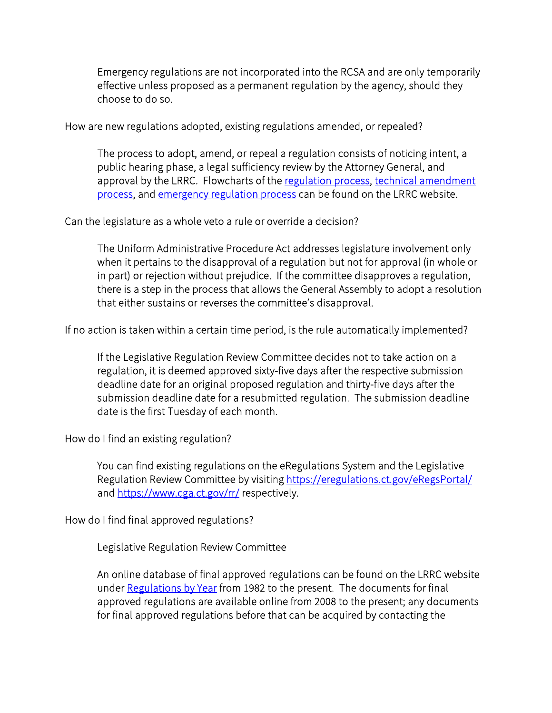Emergency regulations are not incorporated into the RCSA and are only temporarily effective unless proposed as a permanent regulation by the agency, should they choose to do so.

How are new regulations adopted, existing regulations amended, or repealed?

The process to adopt, amend, or repeal a regulation consists of noticing intent, a public hearing phase, a legal sufficiency review by the Attorney General, and approval by the LRRC. Flowcharts of the [regulation process,](https://www.cga.ct.gov/rr/The%20Regulatory%20Process.pdf) [technical amendment](https://www.cga.ct.gov/rr/The%20Technical%20Amendment%20Process%209%2019%2016.pdf)  [process,](https://www.cga.ct.gov/rr/The%20Technical%20Amendment%20Process%209%2019%2016.pdf) and [emergency regulation process](https://www.cga.ct.gov/rr/The%20Emergency%20Regulation%20Process%209%2019%2016.pdf) can be found on the LRRC website.

Can the legislature as a whole veto a rule or override a decision?

The Uniform Administrative Procedure Act addresses legislature involvement only when it pertains to the disapproval of a regulation but not for approval (in whole or in part) or rejection without prejudice. If the committee disapproves a regulation, there is a step in the process that allows the General Assembly to adopt a resolution that either sustains or reverses the committee's disapproval.

If no action is taken within a certain time period, is the rule automatically implemented?

If the Legislative Regulation Review Committee decides not to take action on a regulation, it is deemed approved sixty-five days after the respective submission deadline date for an original proposed regulation and thirty-five days after the submission deadline date for a resubmitted regulation. The submission deadline date is the first Tuesday of each month.

How do I find an existing regulation?

You can find existing regulations on the eRegulations System and the Legislative Regulation Review Committee by visiting https://eregulations.ct.gov/eRegsPortal/ and<https://www.cga.ct.gov/rr/>respectively.

How do I find final approved regulations?

Legislative Regulation Review Committee

An online database of final approved regulations can be found on the LRRC website under [Regulations by Year](https://www.cga.ct.gov/rr/regsbyyear.asp) from 1982 to the present. The documents for final approved regulations are available online from 2008 to the present; any documents for final approved regulations before that can be acquired by contacting the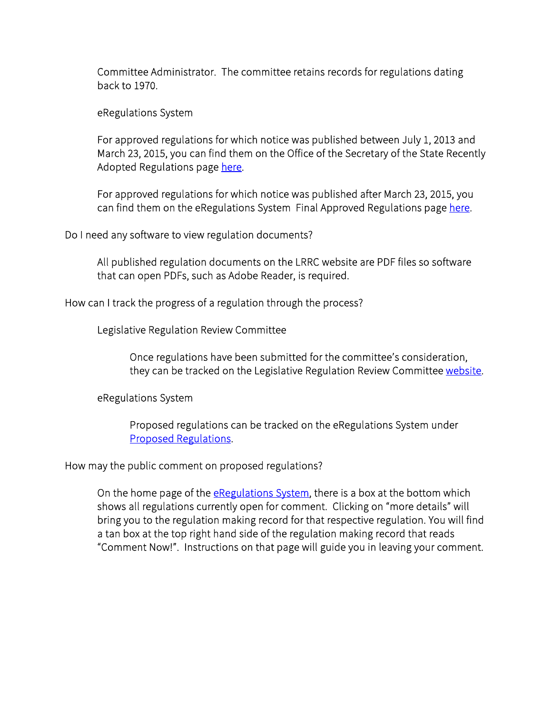Committee Administrator. The committee retains records for regulations dating back to 1970.

eRegulations System

For approved regulations for which notice was published between July 1, 2013 and March 23, 2015, you can find them on the Office of the Secretary of the State Recently Adopted Regulations page [here.](http://www.sots.ct.gov/sots/cwp/view.asp?a=4431&q=525778)

For approved regulations for which notice was published after March 23, 2015, you can find them on the eRegulations System Final Approved Regulations page [here.](https://eregulations.ct.gov/eRegsPortal/Browse/FinalApproved)

Do I need any software to view regulation documents?

All published regulation documents on the LRRC website are PDF files so software that can open PDFs, such as Adobe Reader, is required.

How can I track the progress of a regulation through the process?

Legislative Regulation Review Committee

Once regulations have been submitted for the committee's consideration, they can be tracked on the Legislative Regulation Review Committee [website.](https://www.cga.ct.gov/rr/)

eRegulations System

Proposed regulations can be tracked on the eRegulations System under [Proposed Regulations.](https://eregulations.ct.gov/eRegsPortal/Browse/ProposedRegulations)

How may the public comment on proposed regulations?

On the home page of the [eRegulations System,](https://eregulations.ct.gov/eRegsPortal/) there is a box at the bottom which shows all regulations currently open for comment. Clicking on "more details" will bring you to the regulation making record for that respective regulation. You will find a tan box at the top right hand side of the regulation making record that reads "Comment Now!". Instructions on that page will guide you in leaving your comment.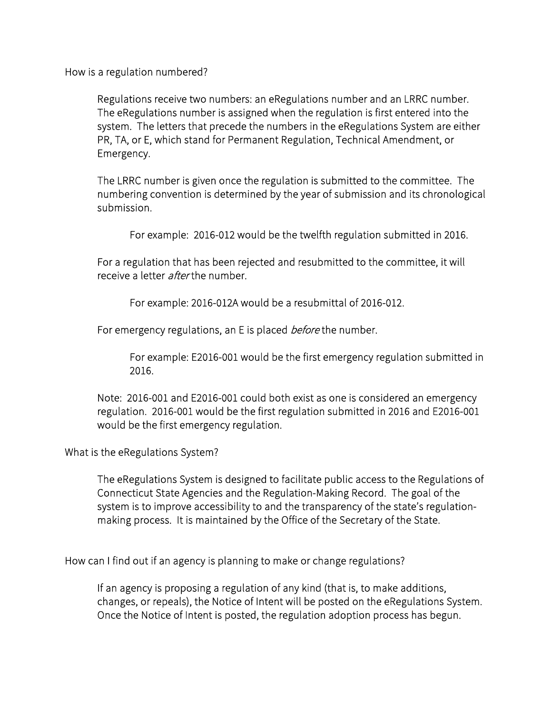How is a regulation numbered?

Regulations receive two numbers: an eRegulations number and an LRRC number. The eRegulations number is assigned when the regulation is first entered into the system. The letters that precede the numbers in the eRegulations System are either PR, TA, or E, which stand for Permanent Regulation, Technical Amendment, or Emergency.

The LRRC number is given once the regulation is submitted to the committee. The numbering convention is determined by the year of submission and its chronological submission.

For example: 2016-012 would be the twelfth regulation submitted in 2016.

For a regulation that has been rejected and resubmitted to the committee, it will receive a letter *after* the number.

For example: 2016-012A would be a resubmittal of 2016-012.

For emergency regulations, an E is placed *before* the number.

For example: E2016-001 would be the first emergency regulation submitted in 2016.

Note: 2016-001 and E2016-001 could both exist as one is considered an emergency regulation. 2016-001 would be the first regulation submitted in 2016 and E2016-001 would be the first emergency regulation.

What is the eRegulations System?

The eRegulations System is designed to facilitate public access to the Regulations of Connecticut State Agencies and the Regulation-Making Record. The goal of the system is to improve accessibility to and the transparency of the state's regulationmaking process. It is maintained by the Office of the Secretary of the State.

How can I find out if an agency is planning to make or change regulations?

If an agency is proposing a regulation of any kind (that is, to make additions, changes, or repeals), the Notice of Intent will be posted on the eRegulations System. Once the Notice of Intent is posted, the regulation adoption process has begun.